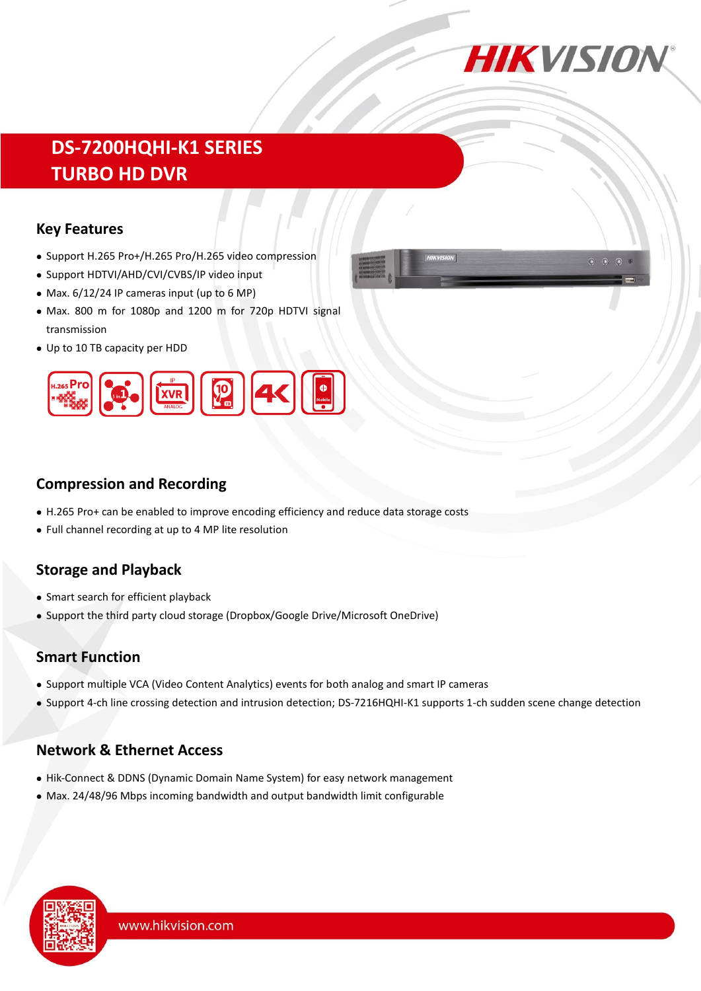

# **DS-7200HQHI-K1 SERIES TURBO HD DVR**

#### **Key Features**

- Support H.265 Pro+/H.265 Pro/H.265 video compression
- Support HDTVI/AHD/CVI/CVBS/IP video input
- Max.  $6/12/24$  IP cameras input (up to 6 MP)
- Max. 800 m for 1080p and 1200 m for 720p HDTVI signal transmission
- Up to 10 TB capacity per HDD





## **Compression and Recording**

- H.265 Pro+ can be enabled to improve encoding efficiency and reduce data storage costs
- Full channel recording at up to 4 MP lite resolution

## **Storage and Playback**

- Smart search for efficient playback
- Support the third party cloud storage (Dropbox/Google Drive/Microsoft OneDrive)

### **Smart Function**

- Support multiple VCA (Video Content Analytics) events for both analog and smart IP cameras
- Support 4-ch line crossing detection and intrusion detection; DS-7216HQHI-K1 supports 1-ch sudden scene change detection

### **Network & Ethernet Access**

- Hik-Connect & DDNS (Dynamic Domain Name System) for easy network management
- Max. 24/48/96 Mbps incoming bandwidth and output bandwidth limit configurable

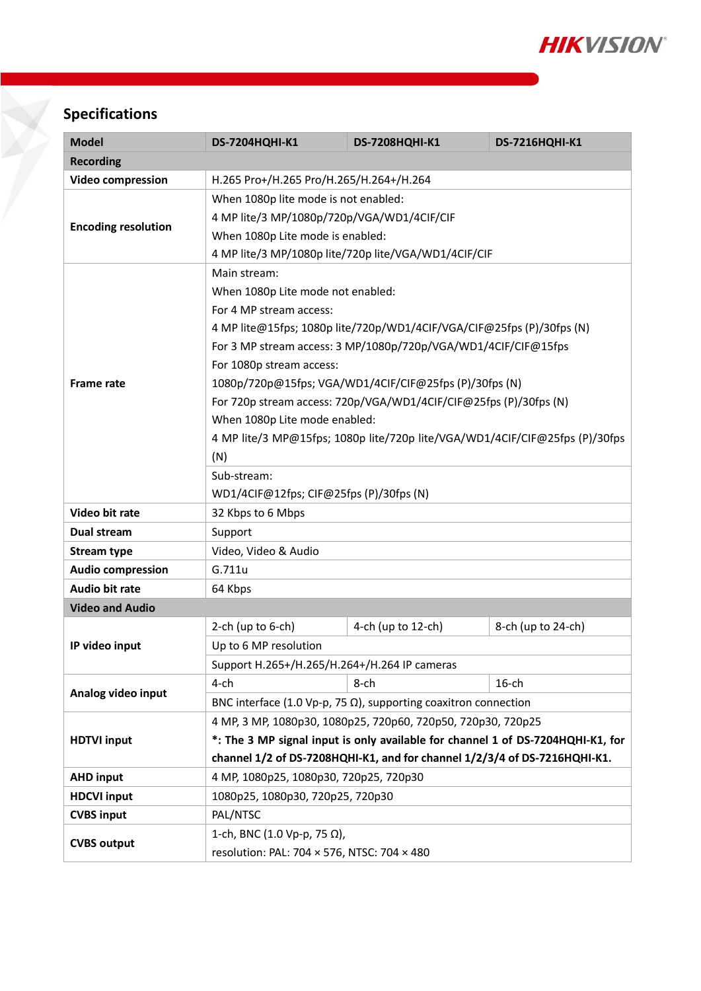

# **Specifications**

| <b>Model</b>               | <b>DS-7204HQHI-K1</b>                                                           | <b>DS-7208HQHI-K1</b> | <b>DS-7216HQHI-K1</b> |  |  |  |
|----------------------------|---------------------------------------------------------------------------------|-----------------------|-----------------------|--|--|--|
| <b>Recording</b>           |                                                                                 |                       |                       |  |  |  |
| <b>Video compression</b>   | H.265 Pro+/H.265 Pro/H.265/H.264+/H.264                                         |                       |                       |  |  |  |
|                            | When 1080p lite mode is not enabled:                                            |                       |                       |  |  |  |
| <b>Encoding resolution</b> | 4 MP lite/3 MP/1080p/720p/VGA/WD1/4CIF/CIF                                      |                       |                       |  |  |  |
|                            | When 1080p Lite mode is enabled:                                                |                       |                       |  |  |  |
|                            | 4 MP lite/3 MP/1080p lite/720p lite/VGA/WD1/4CIF/CIF                            |                       |                       |  |  |  |
| <b>Frame rate</b>          | Main stream:                                                                    |                       |                       |  |  |  |
|                            | When 1080p Lite mode not enabled:                                               |                       |                       |  |  |  |
|                            | For 4 MP stream access:                                                         |                       |                       |  |  |  |
|                            | 4 MP lite@15fps; 1080p lite/720p/WD1/4CIF/VGA/CIF@25fps (P)/30fps (N)           |                       |                       |  |  |  |
|                            | For 3 MP stream access: 3 MP/1080p/720p/VGA/WD1/4CIF/CIF@15fps                  |                       |                       |  |  |  |
|                            | For 1080p stream access:                                                        |                       |                       |  |  |  |
|                            | 1080p/720p@15fps; VGA/WD1/4CIF/CIF@25fps (P)/30fps (N)                          |                       |                       |  |  |  |
|                            | For 720p stream access: 720p/VGA/WD1/4CIF/CIF@25fps (P)/30fps (N)               |                       |                       |  |  |  |
|                            | When 1080p Lite mode enabled:                                                   |                       |                       |  |  |  |
|                            | 4 MP lite/3 MP@15fps; 1080p lite/720p lite/VGA/WD1/4CIF/CIF@25fps (P)/30fps     |                       |                       |  |  |  |
|                            | (N)                                                                             |                       |                       |  |  |  |
|                            | Sub-stream:                                                                     |                       |                       |  |  |  |
|                            | WD1/4CIF@12fps; CIF@25fps (P)/30fps (N)                                         |                       |                       |  |  |  |
| Video bit rate             | 32 Kbps to 6 Mbps                                                               |                       |                       |  |  |  |
| Dual stream                | Support                                                                         |                       |                       |  |  |  |
| <b>Stream type</b>         | Video, Video & Audio                                                            |                       |                       |  |  |  |
| <b>Audio compression</b>   | G.711u                                                                          |                       |                       |  |  |  |
| <b>Audio bit rate</b>      | 64 Kbps                                                                         |                       |                       |  |  |  |
| <b>Video and Audio</b>     |                                                                                 |                       |                       |  |  |  |
|                            | 2-ch (up to $6$ -ch)                                                            | 4-ch (up to 12-ch)    | 8-ch (up to 24-ch)    |  |  |  |
| IP video input             | Up to 6 MP resolution                                                           |                       |                       |  |  |  |
|                            | Support H.265+/H.265/H.264+/H.264 IP cameras                                    |                       |                       |  |  |  |
| Analog video input         | $4$ -ch                                                                         | $8$ -ch               | $16$ -ch              |  |  |  |
|                            | BNC interface (1.0 Vp-p, 75 $\Omega$ ), supporting coaxitron connection         |                       |                       |  |  |  |
|                            | 4 MP, 3 MP, 1080p30, 1080p25, 720p60, 720p50, 720p30, 720p25                    |                       |                       |  |  |  |
| <b>HDTVI input</b>         | *: The 3 MP signal input is only available for channel 1 of DS-7204HQHI-K1, for |                       |                       |  |  |  |
|                            | channel 1/2 of DS-7208HQHI-K1, and for channel 1/2/3/4 of DS-7216HQHI-K1.       |                       |                       |  |  |  |
| <b>AHD input</b>           | 4 MP, 1080p25, 1080p30, 720p25, 720p30                                          |                       |                       |  |  |  |
| <b>HDCVI input</b>         | 1080p25, 1080p30, 720p25, 720p30                                                |                       |                       |  |  |  |
| <b>CVBS input</b>          | PAL/NTSC                                                                        |                       |                       |  |  |  |
| <b>CVBS output</b>         | 1-ch, BNC (1.0 Vp-p, 75 Ω),                                                     |                       |                       |  |  |  |
|                            | resolution: PAL: 704 × 576, NTSC: 704 × 480                                     |                       |                       |  |  |  |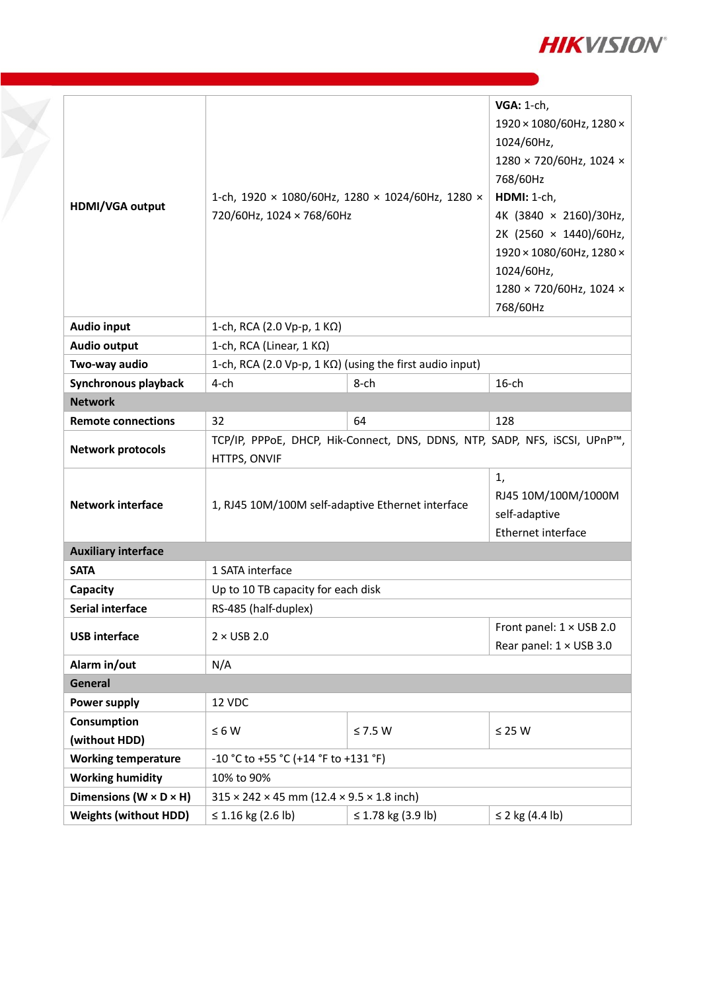

| HDMI/VGA output                      | 1-ch, 1920 × 1080/60Hz, 1280 × 1024/60Hz, 1280 ×<br>720/60Hz, 1024 × 768/60Hz              | <b>VGA: 1-ch,</b><br>1920 × 1080/60Hz, 1280 ×<br>1024/60Hz,<br>1280 × 720/60Hz, 1024 ×<br>768/60Hz<br>HDMI: 1-ch,<br>4K (3840 × 2160)/30Hz,<br>2K (2560 × 1440)/60Hz,<br>1920 × 1080/60Hz, 1280 ×<br>1024/60Hz,<br>1280 × 720/60Hz, 1024 ×<br>768/60Hz |          |  |  |
|--------------------------------------|--------------------------------------------------------------------------------------------|--------------------------------------------------------------------------------------------------------------------------------------------------------------------------------------------------------------------------------------------------------|----------|--|--|
| <b>Audio input</b>                   | 1-ch, RCA (2.0 Vp-p, 1 KΩ)                                                                 |                                                                                                                                                                                                                                                        |          |  |  |
| <b>Audio output</b>                  | 1-ch, RCA (Linear, $1 K\Omega$ )                                                           |                                                                                                                                                                                                                                                        |          |  |  |
| Two-way audio                        | 1-ch, RCA (2.0 Vp-p, 1 K $\Omega$ ) (using the first audio input)                          |                                                                                                                                                                                                                                                        |          |  |  |
| Synchronous playback                 | $4$ -ch                                                                                    | 8-ch                                                                                                                                                                                                                                                   | $16$ -ch |  |  |
| <b>Network</b>                       |                                                                                            |                                                                                                                                                                                                                                                        |          |  |  |
| <b>Remote connections</b>            | 32                                                                                         | 64                                                                                                                                                                                                                                                     | 128      |  |  |
| <b>Network protocols</b>             | TCP/IP, PPPoE, DHCP, Hik-Connect, DNS, DDNS, NTP, SADP, NFS, iSCSI, UPnP™,<br>HTTPS, ONVIF |                                                                                                                                                                                                                                                        |          |  |  |
| <b>Network interface</b>             | 1, RJ45 10M/100M self-adaptive Ethernet interface                                          | 1,<br>RJ45 10M/100M/1000M<br>self-adaptive<br>Ethernet interface                                                                                                                                                                                       |          |  |  |
| <b>Auxiliary interface</b>           |                                                                                            |                                                                                                                                                                                                                                                        |          |  |  |
| <b>SATA</b>                          | 1 SATA interface                                                                           |                                                                                                                                                                                                                                                        |          |  |  |
| Capacity                             | Up to 10 TB capacity for each disk                                                         |                                                                                                                                                                                                                                                        |          |  |  |
| <b>Serial interface</b>              | RS-485 (half-duplex)                                                                       |                                                                                                                                                                                                                                                        |          |  |  |
| <b>USB</b> interface                 | $2 \times$ USB 2.0                                                                         | Front panel: 1 × USB 2.0<br>Rear panel: $1 \times$ USB 3.0                                                                                                                                                                                             |          |  |  |
| Alarm in/out                         | N/A                                                                                        |                                                                                                                                                                                                                                                        |          |  |  |
| General                              |                                                                                            |                                                                                                                                                                                                                                                        |          |  |  |
| Power supply                         | 12 VDC                                                                                     |                                                                                                                                                                                                                                                        |          |  |  |
| Consumption<br>(without HDD)         | $\leq 6 W$<br>$\leq$ 7.5 W<br>$\leq$ 25 W                                                  |                                                                                                                                                                                                                                                        |          |  |  |
| <b>Working temperature</b>           | -10 °C to +55 °C (+14 °F to +131 °F)                                                       |                                                                                                                                                                                                                                                        |          |  |  |
| <b>Working humidity</b>              | 10% to 90%                                                                                 |                                                                                                                                                                                                                                                        |          |  |  |
| Dimensions ( $W \times D \times H$ ) | $315 \times 242 \times 45$ mm (12.4 $\times$ 9.5 $\times$ 1.8 inch)                        |                                                                                                                                                                                                                                                        |          |  |  |
| <b>Weights (without HDD)</b>         | ≤ 1.16 kg (2.6 lb)                                                                         | ≤ 2 kg $(4.4 \text{ lb})$                                                                                                                                                                                                                              |          |  |  |

H